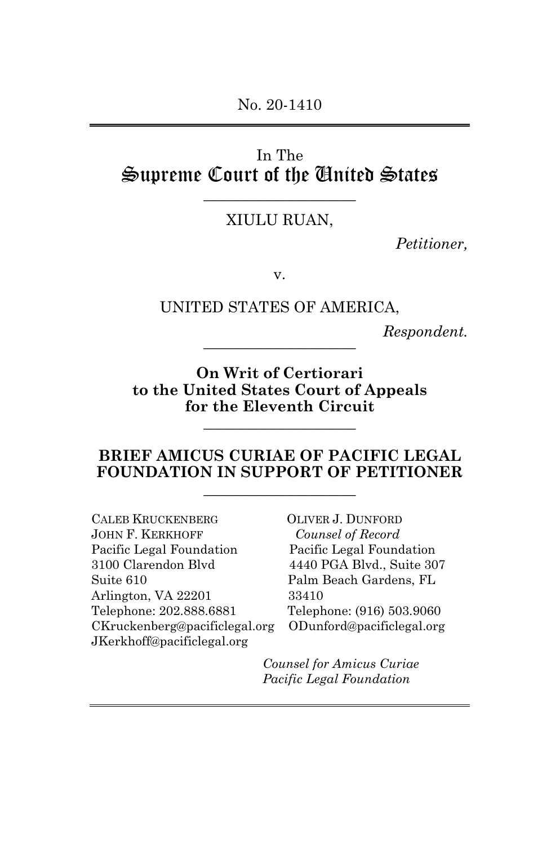## In The Supreme Court of the United States

# \_\_\_\_\_\_\_\_\_\_\_\_\_\_\_\_\_\_\_\_ XIULU RUAN,

*Petitioner,*

v.

UNITED STATES OF AMERICA,

 $Respondent.$ 

**On Writ of Certiorari to the United States Court of Appeals for the Eleventh Circuit**

\_\_\_\_\_\_\_\_\_\_\_\_\_\_\_\_\_\_\_\_

#### **BRIEF AMICUS CURIAE OF PACIFIC LEGAL FOUNDATION IN SUPPORT OF PETITIONER** \_\_\_\_\_\_\_\_\_\_\_\_\_\_\_\_\_\_\_\_

CALEB KRUCKENBERG OLIVER J. DUNFORD JOHN F. KERKHOFF *Counsel of Record* Pacific Legal Foundation Pacific Legal Foundation 3100 Clarendon Blvd 4440 PGA Blvd., Suite 307 Suite 610 Palm Beach Gardens, FL Arlington, VA 22201 33410 Telephone: 202.888.6881 Telephone: (916) 503.9060 CKruckenberg@pacificlegal.org ODunford@pacificlegal.org JKerkhoff@pacificlegal.org

*Counsel for Amicus Curiae Pacific Legal Foundation*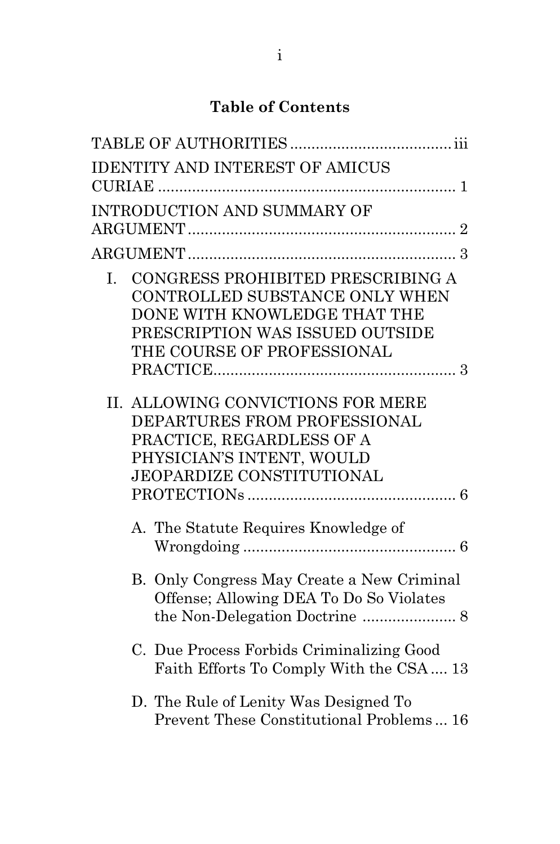## **Table of Contents**

|    | <b>IDENTITY AND INTEREST OF AMICUS</b>                                                                                                                               |
|----|----------------------------------------------------------------------------------------------------------------------------------------------------------------------|
|    | INTRODUCTION AND SUMMARY OF                                                                                                                                          |
|    |                                                                                                                                                                      |
| L. | CONGRESS PROHIBITED PRESCRIBING A<br>CONTROLLED SUBSTANCE ONLY WHEN<br>DONE WITH KNOWLEDGE THAT THE<br>PRESCRIPTION WAS ISSUED OUTSIDE<br>THE COURSE OF PROFESSIONAL |
|    |                                                                                                                                                                      |
|    | II. ALLOWING CONVICTIONS FOR MERE<br>DEPARTURES FROM PROFESSIONAL<br>PRACTICE, REGARDLESS OF A<br>PHYSICIAN'S INTENT, WOULD<br>JEOPARDIZE CONSTITUTIONAL             |
|    | A. The Statute Requires Knowledge of                                                                                                                                 |
|    | B. Only Congress May Create a New Criminal<br>Offense; Allowing DEA To Do So Violates                                                                                |
|    | C. Due Process Forbids Criminalizing Good<br>Faith Efforts To Comply With the CSA 13                                                                                 |
|    | D. The Rule of Lenity Was Designed To<br>Prevent These Constitutional Problems 16                                                                                    |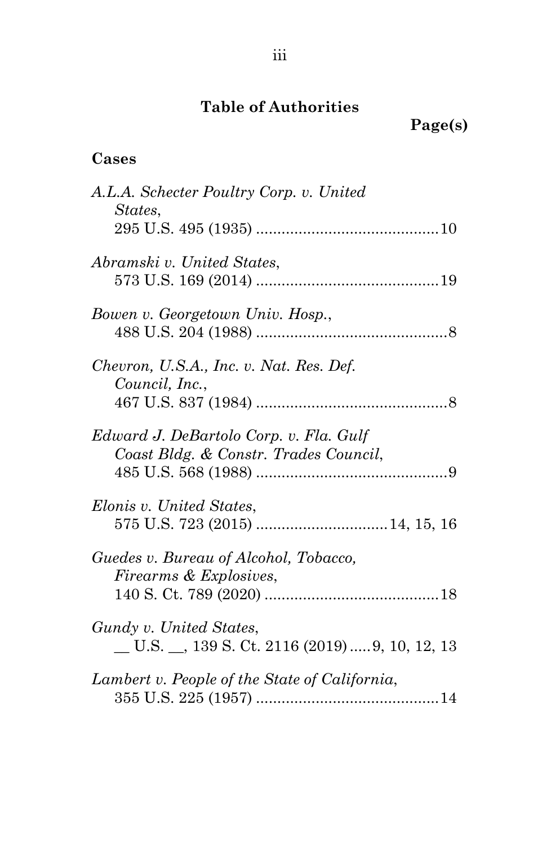# **Table of Authorities**

## **Cases**

| A.L.A. Schecter Poultry Corp. v. United<br>States,                                |
|-----------------------------------------------------------------------------------|
| Abramski v. United States,                                                        |
| Bowen v. Georgetown Univ. Hosp.,                                                  |
| Chevron, U.S.A., Inc. v. Nat. Res. Def.<br>Council, Inc.,                         |
| Edward J. DeBartolo Corp. v. Fla. Gulf<br>Coast Bldg. & Constr. Trades Council,   |
| Elonis v. United States,                                                          |
| Guedes v. Bureau of Alcohol, Tobacco,<br>Firearms & Explosives,                   |
| Gundy v. United States,<br>$\_$ U.S. $\_$ , 139 S. Ct. 2116 (2019)  9, 10, 12, 13 |
| Lambert v. People of the State of California,                                     |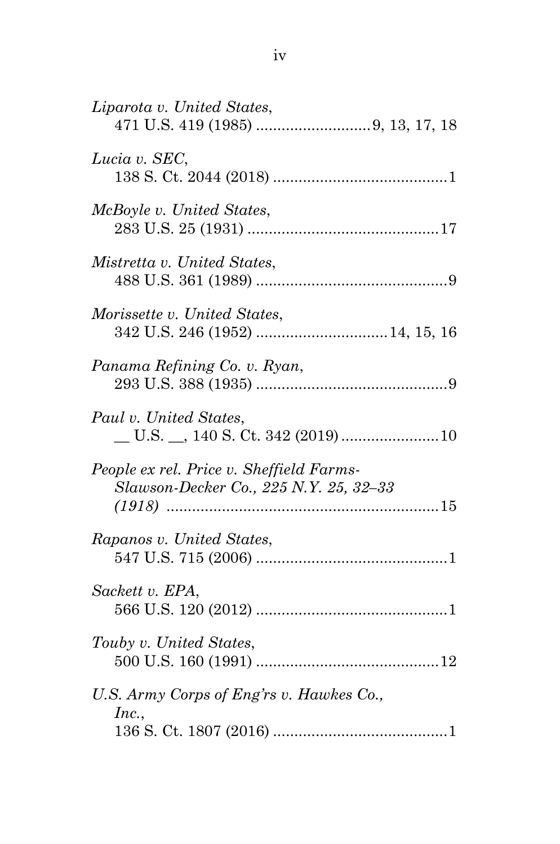| Liparota v. United States,                                                         |
|------------------------------------------------------------------------------------|
| Lucia v. SEC,                                                                      |
| McBoyle v. United States,                                                          |
| Mistretta v. United States,                                                        |
| Morissette v. United States,                                                       |
| Panama Refining Co. v. Ryan,                                                       |
| Paul v. United States,                                                             |
| People ex rel. Price v. Sheffield Farms-<br>Slawson-Decker Co., 225 N.Y. 25, 32-33 |
| Rapanos v. United States,                                                          |
| Sackett v. EPA,                                                                    |
| Touby v. United States,                                                            |
| U.S. Army Corps of Eng'rs v. Hawkes Co.,<br>Inc.,                                  |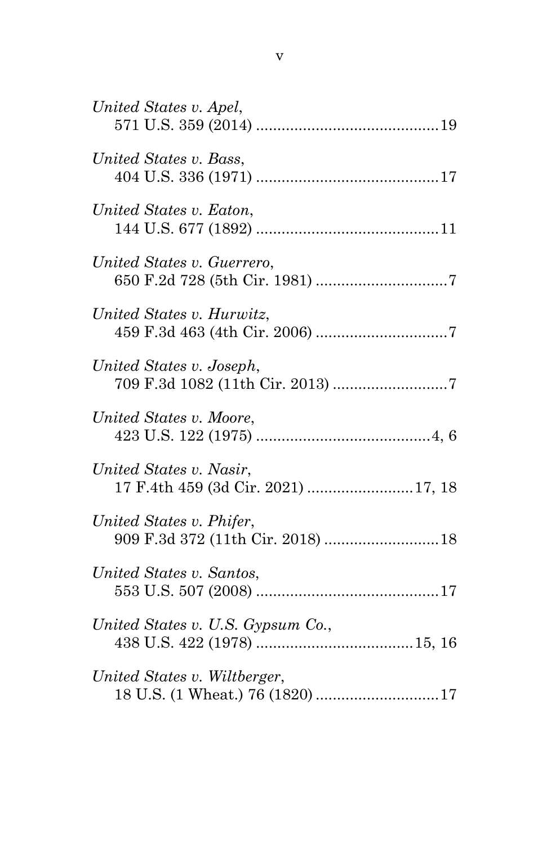| United States v. Apel,                                        |  |
|---------------------------------------------------------------|--|
| United States v. Bass,                                        |  |
| United States v. Eaton,                                       |  |
| United States v. Guerrero,                                    |  |
| United States v. Hurwitz,                                     |  |
| United States v. Joseph,                                      |  |
| United States v. Moore,                                       |  |
| United States v. Nasir,<br>17 F.4th 459 (3d Cir. 2021) 17, 18 |  |
| United States v. Phifer,<br>909 F.3d 372 (11th Cir. 2018)  18 |  |
| United States v. Santos,                                      |  |
| United States v. U.S. Gypsum Co.,                             |  |
| United States v. Wiltberger,                                  |  |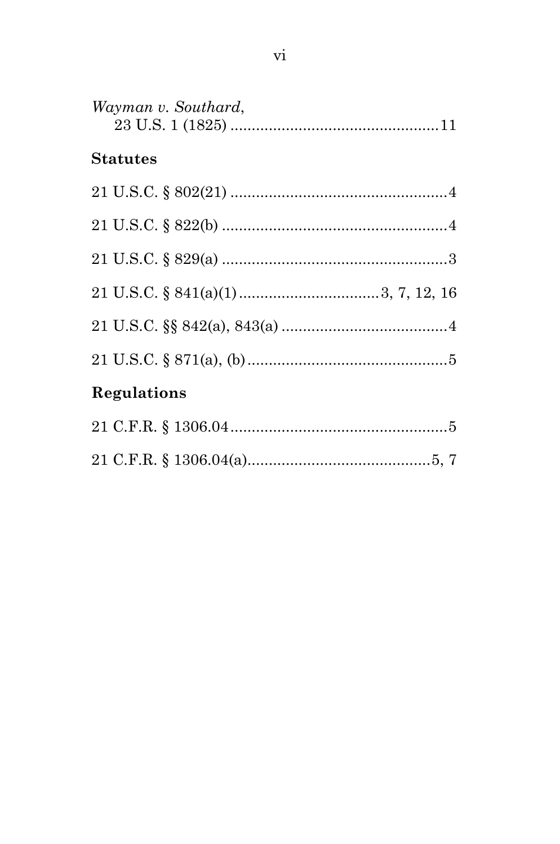| Wayman v. Southard, |  |
|---------------------|--|
| <b>Statutes</b>     |  |
|                     |  |
|                     |  |
|                     |  |
|                     |  |
|                     |  |
|                     |  |
| Regulations         |  |
|                     |  |
|                     |  |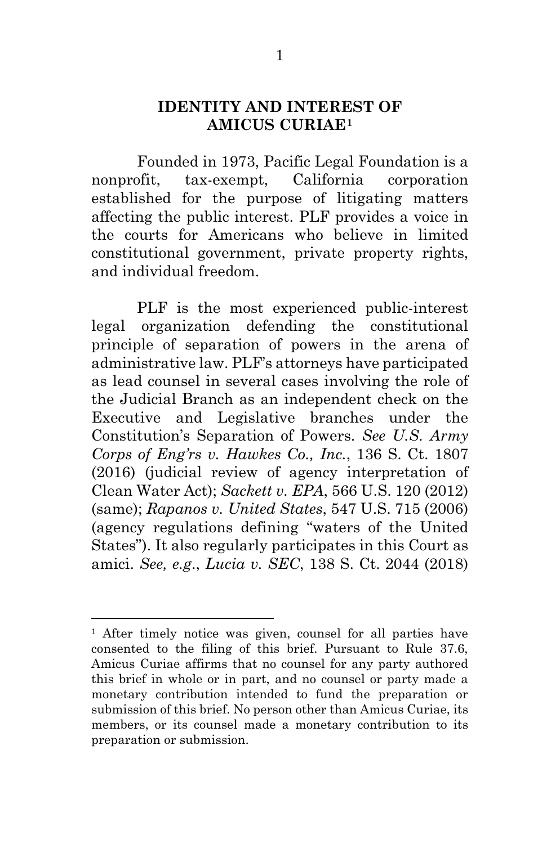#### **IDENTITY AND INTEREST OF AMICUS CURIAE[1](#page-7-4)**

Founded in 1973, Pacific Legal Foundation is a nonprofit, tax-exempt, California corporation established for the purpose of litigating matters affecting the public interest. PLF provides a voice in the courts for Americans who believe in limited constitutional government, private property rights, and individual freedom.

<span id="page-7-3"></span>PLF is the most experienced public-interest legal organization defending the constitutional principle of separation of powers in the arena of administrative law. PLF's attorneys have participated as lead counsel in several cases involving the role of the Judicial Branch as an independent check on the Executive and Legislative branches under the Constitution's Separation of Powers. *See U.S. Army Corps of Eng'rs v. Hawkes Co., Inc.*, 136 S. Ct. 1807 (2016) (judicial review of agency interpretation of Clean Water Act); *Sackett v. EPA*, 566 U.S. 120 (2012) (same); *Rapanos v. United States*, 547 U.S. 715 (2006) (agency regulations defining "waters of the United States"). It also regularly participates in this Court as amici. *See, e.g*., *Lucia v. SEC*, 138 S. Ct. 2044 (2018)

<span id="page-7-4"></span><span id="page-7-2"></span><span id="page-7-1"></span><span id="page-7-0"></span><sup>&</sup>lt;sup>1</sup> After timely notice was given, counsel for all parties have consented to the filing of this brief. Pursuant to Rule 37.6, Amicus Curiae affirms that no counsel for any party authored this brief in whole or in part, and no counsel or party made a monetary contribution intended to fund the preparation or submission of this brief. No person other than Amicus Curiae, its members, or its counsel made a monetary contribution to its preparation or submission.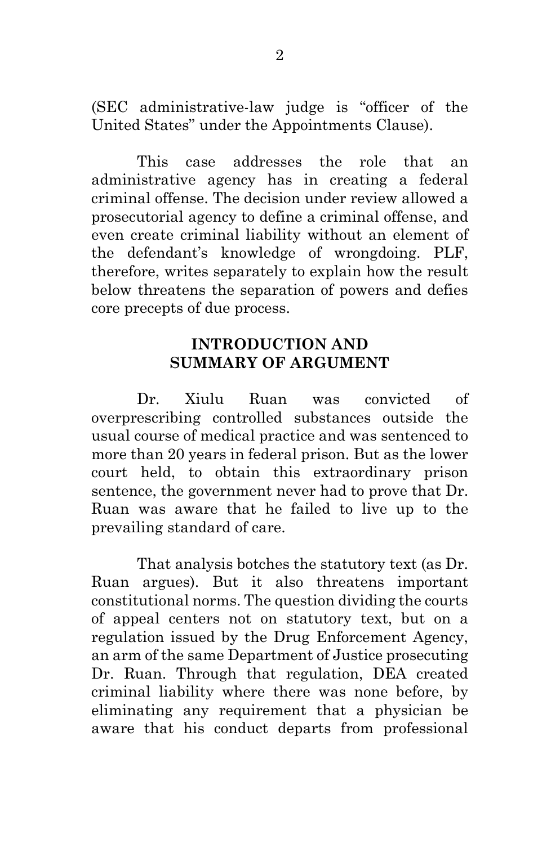(SEC administrative-law judge is "officer of the United States" under the Appointments Clause).

This case addresses the role that an administrative agency has in creating a federal criminal offense. The decision under review allowed a prosecutorial agency to define a criminal offense, and even create criminal liability without an element of the defendant's knowledge of wrongdoing. PLF, therefore, writes separately to explain how the result below threatens the separation of powers and defies core precepts of due process.

#### **INTRODUCTION AND SUMMARY OF ARGUMENT**

Dr. Xiulu Ruan was convicted of overprescribing controlled substances outside the usual course of medical practice and was sentenced to more than 20 years in federal prison. But as the lower court held, to obtain this extraordinary prison sentence, the government never had to prove that Dr. Ruan was aware that he failed to live up to the prevailing standard of care.

That analysis botches the statutory text (as Dr. Ruan argues). But it also threatens important constitutional norms. The question dividing the courts of appeal centers not on statutory text, but on a regulation issued by the Drug Enforcement Agency, an arm of the same Department of Justice prosecuting Dr. Ruan. Through that regulation, DEA created criminal liability where there was none before, by eliminating any requirement that a physician be aware that his conduct departs from professional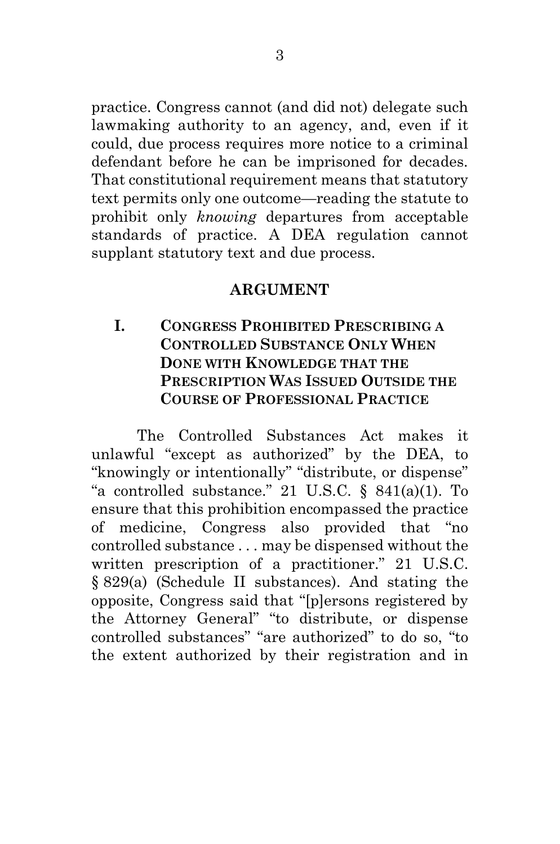practice. Congress cannot (and did not) delegate such lawmaking authority to an agency, and, even if it could, due process requires more notice to a criminal defendant before he can be imprisoned for decades. That constitutional requirement means that statutory text permits only one outcome—reading the statute to prohibit only *knowing* departures from acceptable standards of practice. A DEA regulation cannot supplant statutory text and due process.

#### <span id="page-9-0"></span>**ARGUMENT**

## **I. CONGRESS PROHIBITED PRESCRIBING A CONTROLLED SUBSTANCE ONLY WHEN DONE WITH KNOWLEDGE THAT THE PRESCRIPTION WAS ISSUED OUTSIDE THE COURSE OF PROFESSIONAL PRACTICE**

<span id="page-9-1"></span>The Controlled Substances Act makes it unlawful "except as authorized" by the DEA, to "knowingly or intentionally" "distribute, or dispense" "a controlled substance." 21 U.S.C. § 841(a)(1). To ensure that this prohibition encompassed the practice of medicine, Congress also provided that "no controlled substance . . . may be dispensed without the written prescription of a practitioner." 21 U.S.C. § 829(a) (Schedule II substances). And stating the opposite, Congress said that "[p]ersons registered by the Attorney General" "to distribute, or dispense controlled substances" "are authorized" to do so, "to the extent authorized by their registration and in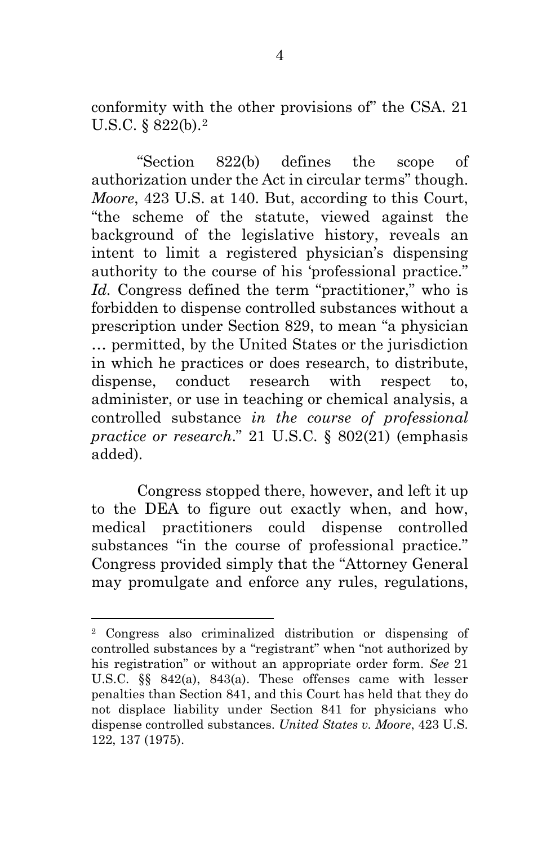<span id="page-10-2"></span>conformity with the other provisions of" the CSA. 21 U.S.C. § 822(b).[2](#page-10-4)

"Section 822(b) defines the scope of authorization under the Act in circular terms" though. *Moore*, 423 U.S. at 140. But, according to this Court, "the scheme of the statute, viewed against the background of the legislative history, reveals an intent to limit a registered physician's dispensing authority to the course of his 'professional practice." *Id.* Congress defined the term "practitioner," who is forbidden to dispense controlled substances without a prescription under Section 829, to mean "a physician … permitted, by the United States or the jurisdiction in which he practices or does research, to distribute, dispense, conduct research with respect to, administer, or use in teaching or chemical analysis, a controlled substance *in the course of professional practice or research*." 21 U.S.C. § 802(21) (emphasis added).

<span id="page-10-1"></span>Congress stopped there, however, and left it up to the DEA to figure out exactly when, and how, medical practitioners could dispense controlled substances "in the course of professional practice." Congress provided simply that the "Attorney General may promulgate and enforce any rules, regulations,

<span id="page-10-4"></span><span id="page-10-3"></span><span id="page-10-0"></span><sup>2</sup> Congress also criminalized distribution or dispensing of controlled substances by a "registrant" when "not authorized by his registration" or without an appropriate order form. *See* 21 U.S.C. §§ 842(a), 843(a). These offenses came with lesser penalties than Section 841, and this Court has held that they do not displace liability under Section 841 for physicians who dispense controlled substances. *United States v. Moore*, 423 U.S. 122, 137 (1975).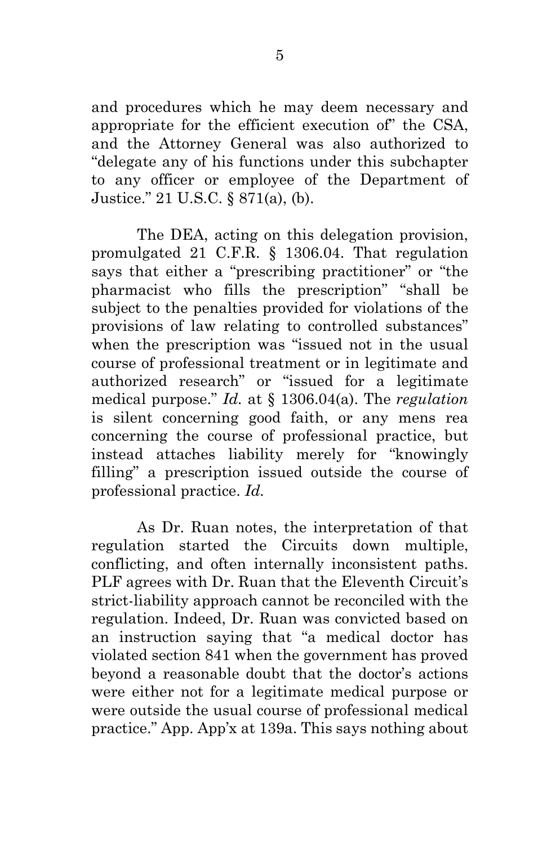and procedures which he may deem necessary and appropriate for the efficient execution of" the CSA, and the Attorney General was also authorized to "delegate any of his functions under this subchapter to any officer or employee of the Department of Justice." 21 U.S.C. § 871(a), (b).

<span id="page-11-1"></span><span id="page-11-0"></span>The DEA, acting on this delegation provision, promulgated 21 C.F.R. § 1306.04. That regulation says that either a "prescribing practitioner" or "the pharmacist who fills the prescription" "shall be subject to the penalties provided for violations of the provisions of law relating to controlled substances" when the prescription was "issued not in the usual course of professional treatment or in legitimate and authorized research" or "issued for a legitimate medical purpose." *Id.* at § 1306.04(a). The *regulation*  is silent concerning good faith, or any mens rea concerning the course of professional practice, but instead attaches liability merely for "knowingly filling" a prescription issued outside the course of professional practice. *Id.* 

<span id="page-11-2"></span>As Dr. Ruan notes, the interpretation of that regulation started the Circuits down multiple, conflicting, and often internally inconsistent paths. PLF agrees with Dr. Ruan that the Eleventh Circuit's strict-liability approach cannot be reconciled with the regulation. Indeed, Dr. Ruan was convicted based on an instruction saying that "a medical doctor has violated section 841 when the government has proved beyond a reasonable doubt that the doctor's actions were either not for a legitimate medical purpose or were outside the usual course of professional medical practice." App. App'x at 139a. This says nothing about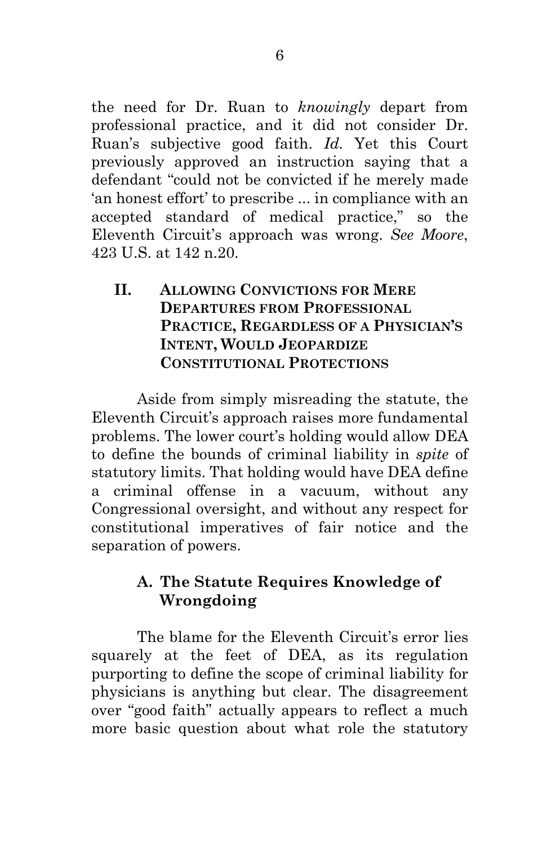the need for Dr. Ruan to *knowingly* depart from professional practice, and it did not consider Dr. Ruan's subjective good faith. *Id.* Yet this Court previously approved an instruction saying that a defendant "could not be convicted if he merely made 'an honest effort' to prescribe ... in compliance with an accepted standard of medical practice," so the Eleventh Circuit's approach was wrong. *See Moore*, 423 U.S. at 142 n.20.

## <span id="page-12-0"></span>**II. ALLOWING CONVICTIONS FOR MERE DEPARTURES FROM PROFESSIONAL PRACTICE, REGARDLESS OF A PHYSICIAN'S INTENT, WOULD JEOPARDIZE CONSTITUTIONAL PROTECTIONS**

Aside from simply misreading the statute, the Eleventh Circuit's approach raises more fundamental problems. The lower court's holding would allow DEA to define the bounds of criminal liability in *spite* of statutory limits. That holding would have DEA define a criminal offense in a vacuum, without any Congressional oversight, and without any respect for constitutional imperatives of fair notice and the separation of powers.

### **A. The Statute Requires Knowledge of Wrongdoing**

The blame for the Eleventh Circuit's error lies squarely at the feet of DEA, as its regulation purporting to define the scope of criminal liability for physicians is anything but clear. The disagreement over "good faith" actually appears to reflect a much more basic question about what role the statutory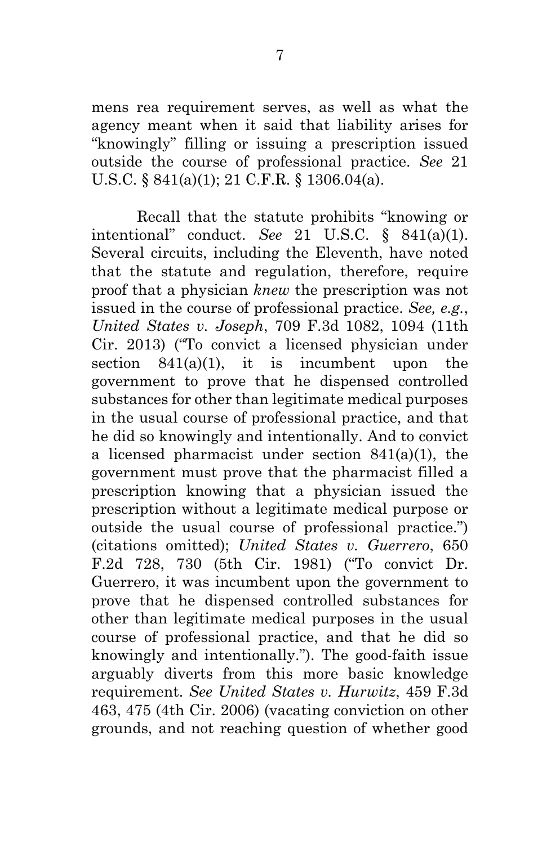<span id="page-13-3"></span>mens rea requirement serves, as well as what the agency meant when it said that liability arises for "knowingly" filling or issuing a prescription issued outside the course of professional practice. *See* 21 U.S.C. § 841(a)(1); 21 C.F.R. § 1306.04(a).

<span id="page-13-4"></span><span id="page-13-2"></span><span id="page-13-1"></span><span id="page-13-0"></span>Recall that the statute prohibits "knowing or intentional" conduct. *See* 21 U.S.C. § 841(a)(1). Several circuits, including the Eleventh, have noted that the statute and regulation, therefore, require proof that a physician *knew* the prescription was not issued in the course of professional practice. *See, e.g.*, *United States v. Joseph*, 709 F.3d 1082, 1094 (11th Cir. 2013) ("To convict a licensed physician under section  $841(a)(1)$ , it is incumbent upon the government to prove that he dispensed controlled substances for other than legitimate medical purposes in the usual course of professional practice, and that he did so knowingly and intentionally. And to convict a licensed pharmacist under section 841(a)(1), the government must prove that the pharmacist filled a prescription knowing that a physician issued the prescription without a legitimate medical purpose or outside the usual course of professional practice.") (citations omitted); *United States v. Guerrero*, 650 F.2d 728, 730 (5th Cir. 1981) ("To convict Dr. Guerrero, it was incumbent upon the government to prove that he dispensed controlled substances for other than legitimate medical purposes in the usual course of professional practice, and that he did so knowingly and intentionally."). The good-faith issue arguably diverts from this more basic knowledge requirement. *See United States v. Hurwitz*, 459 F.3d 463, 475 (4th Cir. 2006) (vacating conviction on other grounds, and not reaching question of whether good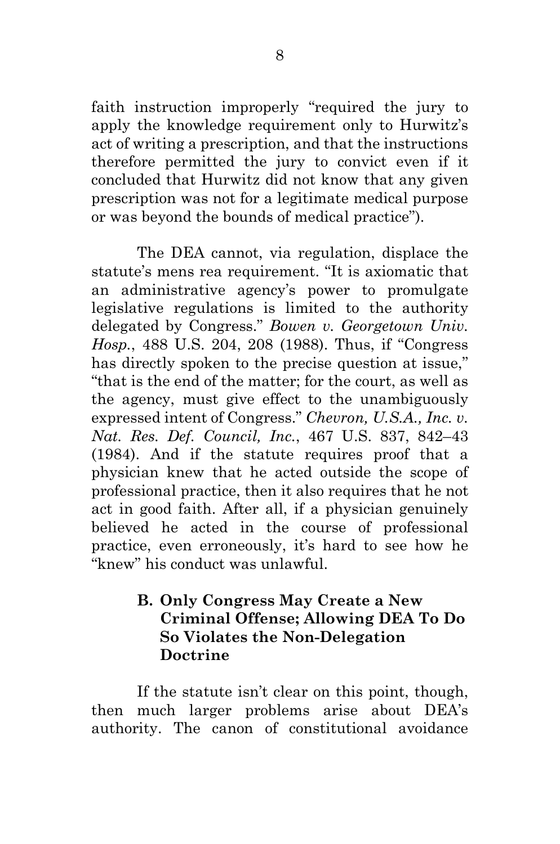faith instruction improperly "required the jury to apply the knowledge requirement only to Hurwitz's act of writing a prescription, and that the instructions therefore permitted the jury to convict even if it concluded that Hurwitz did not know that any given prescription was not for a legitimate medical purpose or was beyond the bounds of medical practice").

<span id="page-14-0"></span>The DEA cannot, via regulation, displace the statute's mens rea requirement. "It is axiomatic that an administrative agency's power to promulgate legislative regulations is limited to the authority delegated by Congress." *Bowen v. Georgetown Univ. Hosp.*, 488 U.S. 204, 208 (1988). Thus, if "Congress has directly spoken to the precise question at issue," "that is the end of the matter; for the court, as well as the agency, must give effect to the unambiguously expressed intent of Congress." *Chevron, U.S.A., Inc. v. Nat. Res. Def. Council, Inc.*, 467 U.S. 837, 842–43 (1984). And if the statute requires proof that a physician knew that he acted outside the scope of professional practice, then it also requires that he not act in good faith. After all, if a physician genuinely believed he acted in the course of professional practice, even erroneously, it's hard to see how he "knew" his conduct was unlawful.

### <span id="page-14-1"></span>**B. Only Congress May Create a New Criminal Offense; Allowing DEA To Do So Violates the Non-Delegation Doctrine**

If the statute isn't clear on this point, though, then much larger problems arise about DEA's authority. The canon of constitutional avoidance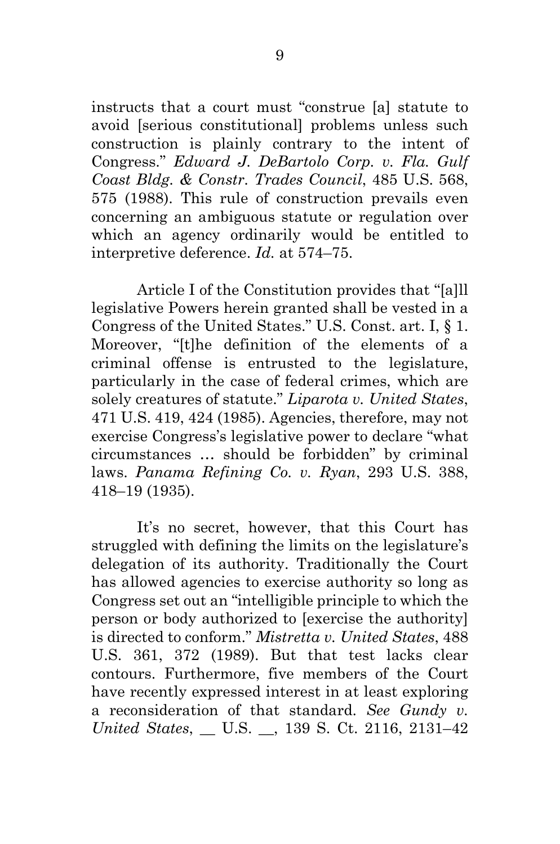<span id="page-15-0"></span>instructs that a court must "construe [a] statute to avoid [serious constitutional] problems unless such construction is plainly contrary to the intent of Congress." *Edward J. DeBartolo Corp. v. Fla. Gulf Coast Bldg. & Constr. Trades Council*, 485 U.S. 568, 575 (1988). This rule of construction prevails even concerning an ambiguous statute or regulation over which an agency ordinarily would be entitled to interpretive deference. *Id.* at 574–75.

<span id="page-15-2"></span>Article I of the Constitution provides that "[a]ll legislative Powers herein granted shall be vested in a Congress of the United States." U.S. Const. art. I, § 1. Moreover, "[t]he definition of the elements of a criminal offense is entrusted to the legislature, particularly in the case of federal crimes, which are solely creatures of statute." *Liparota v. United States*, 471 U.S. 419, 424 (1985). Agencies, therefore, may not exercise Congress's legislative power to declare "what circumstances … should be forbidden" by criminal laws. *Panama Refining Co. v. Ryan*, 293 U.S. 388, 418–19 (1935).

<span id="page-15-4"></span><span id="page-15-3"></span><span id="page-15-1"></span>It's no secret, however, that this Court has struggled with defining the limits on the legislature's delegation of its authority. Traditionally the Court has allowed agencies to exercise authority so long as Congress set out an "intelligible principle to which the person or body authorized to [exercise the authority] is directed to conform." *Mistretta v. United States*, 488 U.S. 361, 372 (1989). But that test lacks clear contours. Furthermore, five members of the Court have recently expressed interest in at least exploring a reconsideration of that standard. *See Gundy v. United States*, \_\_ U.S. \_\_, 139 S. Ct. 2116, 2131–42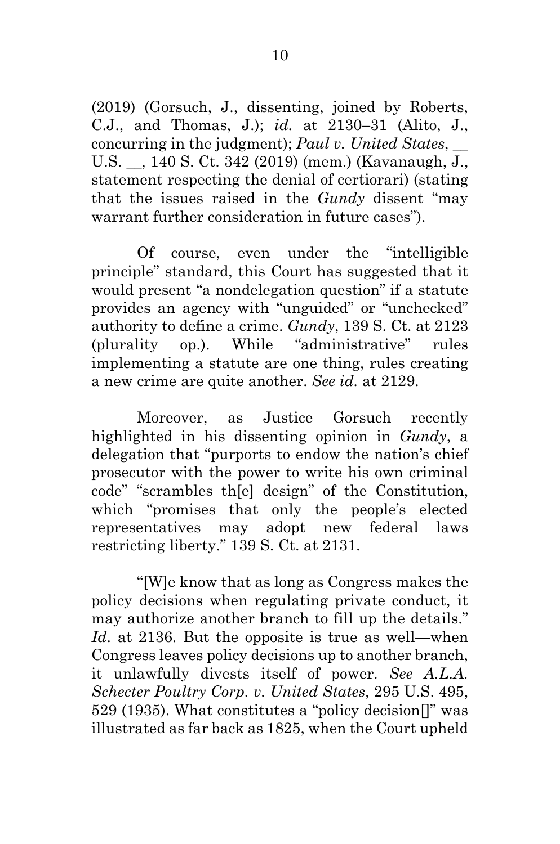<span id="page-16-2"></span><span id="page-16-1"></span>(2019) (Gorsuch, J., dissenting, joined by Roberts, C.J., and Thomas, J.); *id.* at 2130–31 (Alito, J., concurring in the judgment); *Paul v. United States*, \_\_ U.S. \_\_, 140 S. Ct. 342 (2019) (mem.) (Kavanaugh, J., statement respecting the denial of certiorari) (stating that the issues raised in the *Gundy* dissent "may warrant further consideration in future cases").

Of course, even under the "intelligible principle" standard, this Court has suggested that it would present "a nondelegation question" if a statute provides an agency with "unguided" or "unchecked" authority to define a crime. *Gundy*, 139 S. Ct. at 2123 (plurality op.). While "administrative" rules implementing a statute are one thing, rules creating a new crime are quite another. *See id.* at 2129.

Moreover, as Justice Gorsuch recently highlighted in his dissenting opinion in *Gundy*, a delegation that "purports to endow the nation's chief prosecutor with the power to write his own criminal code" "scrambles th[e] design" of the Constitution, which "promises that only the people's elected representatives may adopt new federal laws restricting liberty." 139 S. Ct. at 2131.

<span id="page-16-0"></span>"[W]e know that as long as Congress makes the policy decisions when regulating private conduct, it may authorize another branch to fill up the details." *Id*. at 2136. But the opposite is true as well—when Congress leaves policy decisions up to another branch, it unlawfully divests itself of power. *See A.L.A. Schecter Poultry Corp. v. United States*, 295 U.S. 495, 529 (1935). What constitutes a "policy decision[]" was illustrated as far back as 1825, when the Court upheld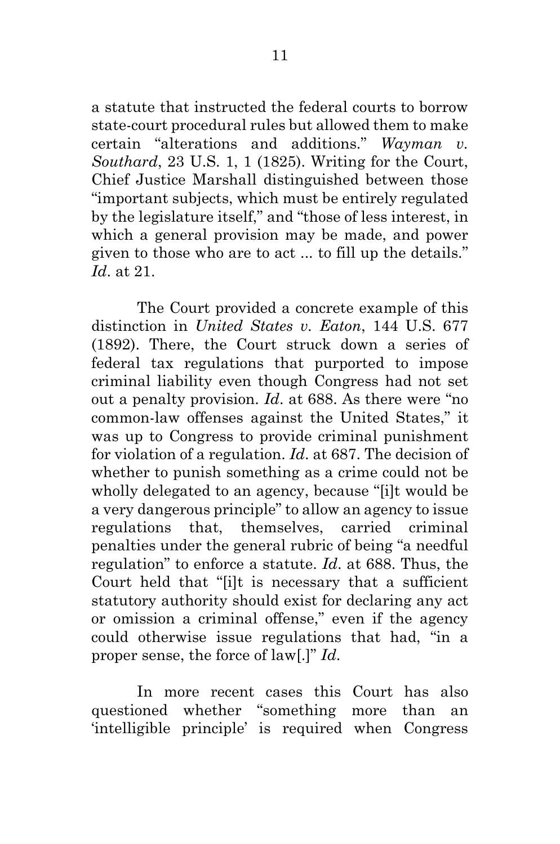<span id="page-17-1"></span>a statute that instructed the federal courts to borrow state-court procedural rules but allowed them to make certain "alterations and additions." *Wayman v. Southard*, 23 U.S. 1, 1 (1825). Writing for the Court, Chief Justice Marshall distinguished between those "important subjects, which must be entirely regulated by the legislature itself," and "those of less interest, in which a general provision may be made, and power given to those who are to act ... to fill up the details." *Id*. at 21.

<span id="page-17-0"></span>The Court provided a concrete example of this distinction in *United States v. Eaton*, 144 U.S. 677 (1892). There, the Court struck down a series of federal tax regulations that purported to impose criminal liability even though Congress had not set out a penalty provision. *Id*. at 688. As there were "no common-law offenses against the United States," it was up to Congress to provide criminal punishment for violation of a regulation. *Id*. at 687. The decision of whether to punish something as a crime could not be wholly delegated to an agency, because "[i]t would be a very dangerous principle" to allow an agency to issue regulations that, themselves, carried criminal penalties under the general rubric of being "a needful regulation" to enforce a statute. *Id*. at 688. Thus, the Court held that "[i]t is necessary that a sufficient statutory authority should exist for declaring any act or omission a criminal offense," even if the agency could otherwise issue regulations that had, "in a proper sense, the force of law[.]" *Id*.

In more recent cases this Court has also questioned whether "something more than an 'intelligible principle' is required when Congress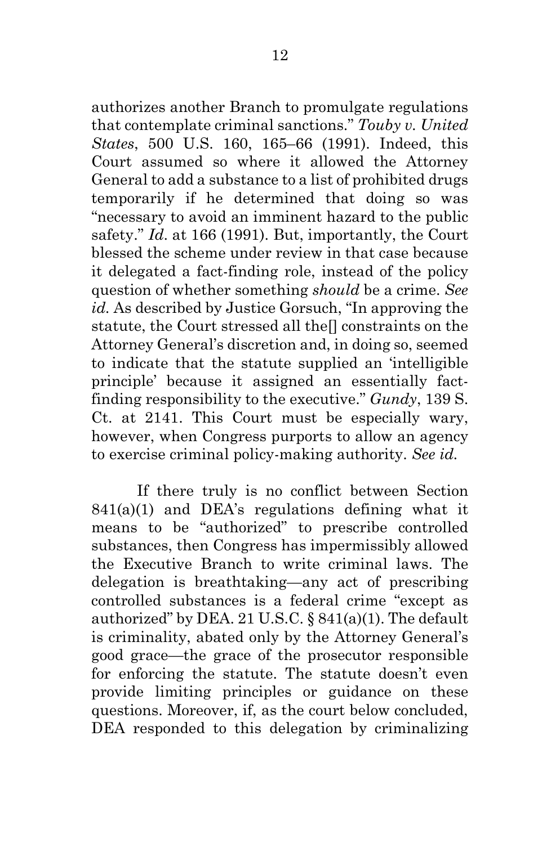<span id="page-18-1"></span>authorizes another Branch to promulgate regulations that contemplate criminal sanctions." *Touby v. United States*, 500 U.S. 160, 165–66 (1991). Indeed, this Court assumed so where it allowed the Attorney General to add a substance to a list of prohibited drugs temporarily if he determined that doing so was "necessary to avoid an imminent hazard to the public safety." *Id*. at 166 (1991). But, importantly, the Court blessed the scheme under review in that case because it delegated a fact-finding role, instead of the policy question of whether something *should* be a crime. *See id.* As described by Justice Gorsuch, "In approving the statute, the Court stressed all the[] constraints on the Attorney General's discretion and, in doing so, seemed to indicate that the statute supplied an 'intelligible principle' because it assigned an essentially factfinding responsibility to the executive." *Gundy*, 139 S. Ct. at 2141. This Court must be especially wary, however, when Congress purports to allow an agency to exercise criminal policy-making authority. *See id.*

<span id="page-18-2"></span><span id="page-18-0"></span>If there truly is no conflict between Section  $841(a)(1)$  and DEA's regulations defining what it means to be "authorized" to prescribe controlled substances, then Congress has impermissibly allowed the Executive Branch to write criminal laws. The delegation is breathtaking—any act of prescribing controlled substances is a federal crime "except as authorized" by DEA. 21 U.S.C. § 841(a)(1). The default is criminality, abated only by the Attorney General's good grace—the grace of the prosecutor responsible for enforcing the statute. The statute doesn't even provide limiting principles or guidance on these questions. Moreover, if, as the court below concluded, DEA responded to this delegation by criminalizing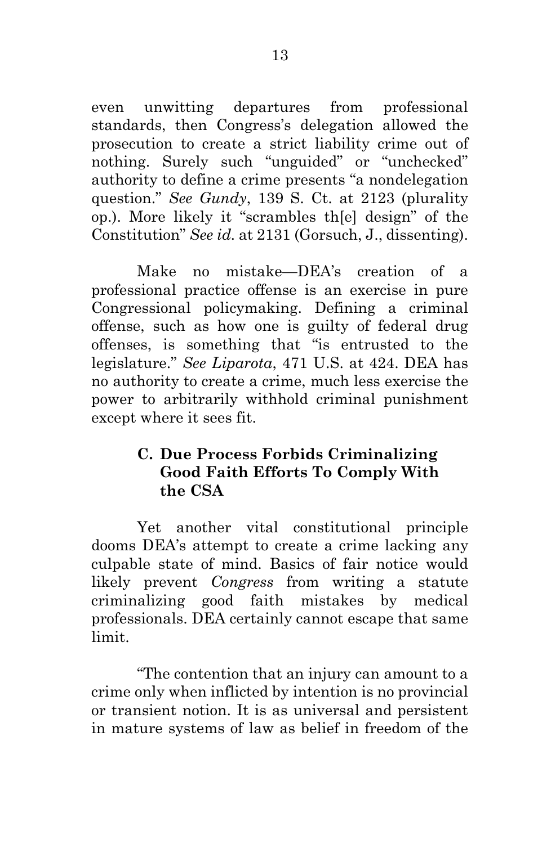even unwitting departures from professional standards, then Congress's delegation allowed the prosecution to create a strict liability crime out of nothing. Surely such "unguided" or "unchecked" authority to define a crime presents "a nondelegation question." *See Gundy*, 139 S. Ct. at 2123 (plurality op.). More likely it "scrambles th[e] design" of the Constitution" *See id.* at 2131 (Gorsuch, J., dissenting).

<span id="page-19-0"></span>Make no mistake—DEA's creation of a professional practice offense is an exercise in pure Congressional policymaking. Defining a criminal offense, such as how one is guilty of federal drug offenses, is something that "is entrusted to the legislature." *See Liparota*, 471 U.S. at 424. DEA has no authority to create a crime, much less exercise the power to arbitrarily withhold criminal punishment except where it sees fit.

### <span id="page-19-1"></span>**C. Due Process Forbids Criminalizing Good Faith Efforts To Comply With the CSA**

Yet another vital constitutional principle dooms DEA's attempt to create a crime lacking any culpable state of mind. Basics of fair notice would likely prevent *Congress* from writing a statute criminalizing good faith mistakes by medical professionals. DEA certainly cannot escape that same limit.

"The contention that an injury can amount to a crime only when inflicted by intention is no provincial or transient notion. It is as universal and persistent in mature systems of law as belief in freedom of the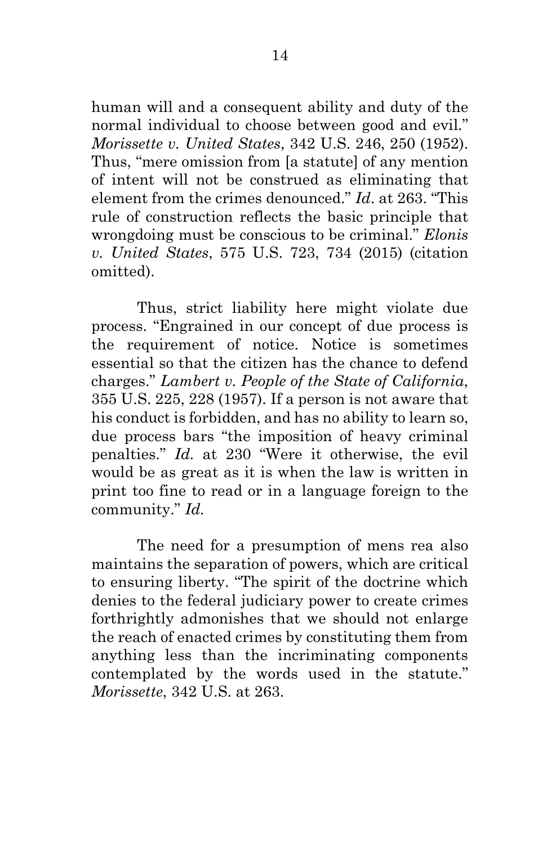<span id="page-20-2"></span>human will and a consequent ability and duty of the normal individual to choose between good and evil." *Morissette v. United States*, 342 U.S. 246, 250 (1952). Thus, "mere omission from [a statute] of any mention of intent will not be construed as eliminating that element from the crimes denounced." *Id*. at 263. "This rule of construction reflects the basic principle that wrongdoing must be conscious to be criminal." *Elonis v. United States*, 575 U.S. 723, 734 (2015) (citation omitted).

<span id="page-20-1"></span><span id="page-20-0"></span>Thus, strict liability here might violate due process. "Engrained in our concept of due process is the requirement of notice. Notice is sometimes essential so that the citizen has the chance to defend charges." *Lambert v. People of the State of California*, 355 U.S. 225, 228 (1957). If a person is not aware that his conduct is forbidden, and has no ability to learn so, due process bars "the imposition of heavy criminal penalties." *Id.* at 230 "Were it otherwise, the evil would be as great as it is when the law is written in print too fine to read or in a language foreign to the community." *Id.* 

The need for a presumption of mens rea also maintains the separation of powers, which are critical to ensuring liberty. "The spirit of the doctrine which denies to the federal judiciary power to create crimes forthrightly admonishes that we should not enlarge the reach of enacted crimes by constituting them from anything less than the incriminating components contemplated by the words used in the statute." *Morissette*, 342 U.S. at 263.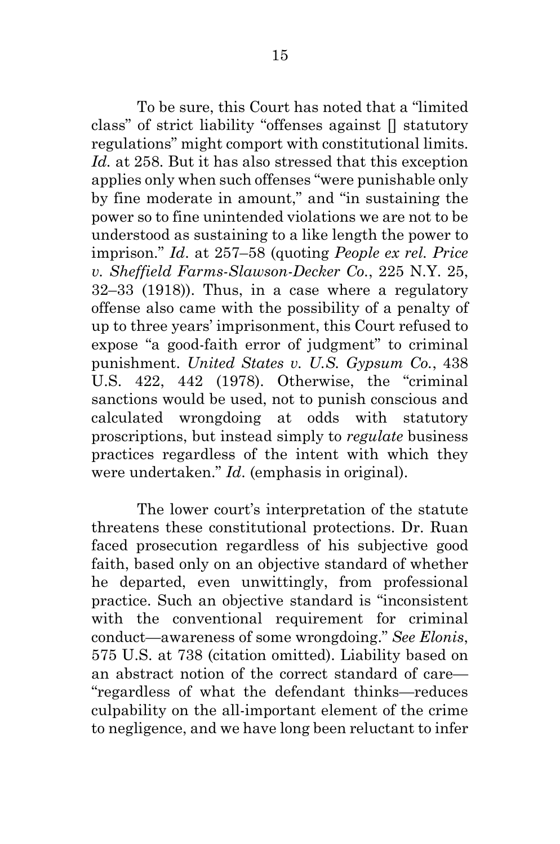<span id="page-21-1"></span>To be sure, this Court has noted that a "limited class" of strict liability "offenses against [] statutory regulations" might comport with constitutional limits. Id. at 258. But it has also stressed that this exception applies only when such offenses "were punishable only by fine moderate in amount," and "in sustaining the power so to fine unintended violations we are not to be understood as sustaining to a like length the power to imprison." *Id*. at 257–58 (quoting *People ex rel. Price v. Sheffield Farms-Slawson-Decker Co.*, 225 N.Y. 25, 32–33 (1918)). Thus, in a case where a regulatory offense also came with the possibility of a penalty of up to three years' imprisonment, this Court refused to expose "a good-faith error of judgment" to criminal punishment. *United States v. U.S. Gypsum Co.*, 438 U.S. 422, 442 (1978). Otherwise, the "criminal sanctions would be used, not to punish conscious and calculated wrongdoing at odds with statutory proscriptions, but instead simply to *regulate* business practices regardless of the intent with which they were undertaken." *Id*. (emphasis in original).

<span id="page-21-2"></span><span id="page-21-0"></span>The lower court's interpretation of the statute threatens these constitutional protections. Dr. Ruan faced prosecution regardless of his subjective good faith, based only on an objective standard of whether he departed, even unwittingly, from professional practice. Such an objective standard is "inconsistent with the conventional requirement for criminal conduct—awareness of some wrongdoing." *See Elonis*, 575 U.S. at 738 (citation omitted). Liability based on an abstract notion of the correct standard of care— "regardless of what the defendant thinks—reduces culpability on the all-important element of the crime to negligence, and we have long been reluctant to infer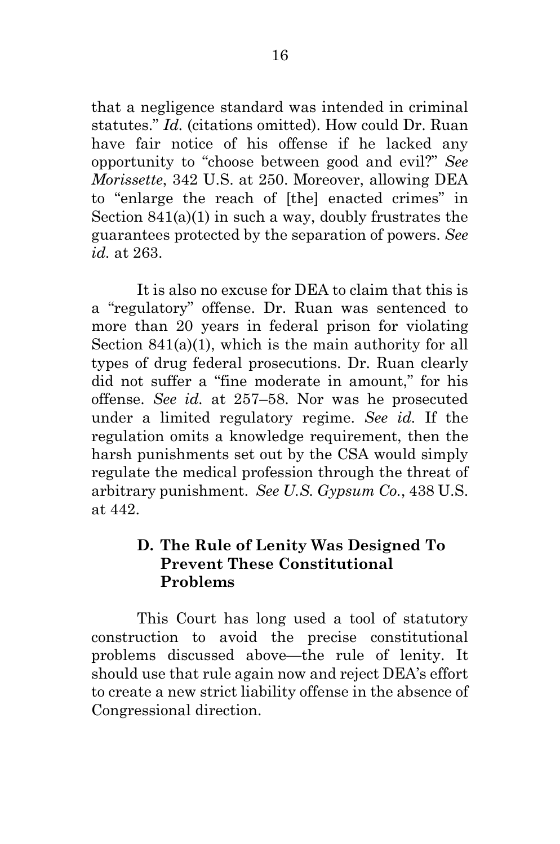<span id="page-22-1"></span><span id="page-22-0"></span>that a negligence standard was intended in criminal statutes." *Id.* (citations omitted). How could Dr. Ruan have fair notice of his offense if he lacked any opportunity to "choose between good and evil?" *See Morissette*, 342 U.S. at 250. Moreover, allowing DEA to "enlarge the reach of [the] enacted crimes" in Section  $841(a)(1)$  in such a way, doubly frustrates the guarantees protected by the separation of powers. *See id.* at 263.

<span id="page-22-3"></span>It is also no excuse for DEA to claim that this is a "regulatory" offense. Dr. Ruan was sentenced to more than 20 years in federal prison for violating Section 841(a)(1), which is the main authority for all types of drug federal prosecutions. Dr. Ruan clearly did not suffer a "fine moderate in amount," for his offense. *See id.* at 257–58. Nor was he prosecuted under a limited regulatory regime. *See id.* If the regulation omits a knowledge requirement, then the harsh punishments set out by the CSA would simply regulate the medical profession through the threat of arbitrary punishment. *See U.S. Gypsum Co.*, 438 U.S. at 442.

### <span id="page-22-2"></span>**D. The Rule of Lenity Was Designed To Prevent These Constitutional Problems**

This Court has long used a tool of statutory construction to avoid the precise constitutional problems discussed above—the rule of lenity. It should use that rule again now and reject DEA's effort to create a new strict liability offense in the absence of Congressional direction.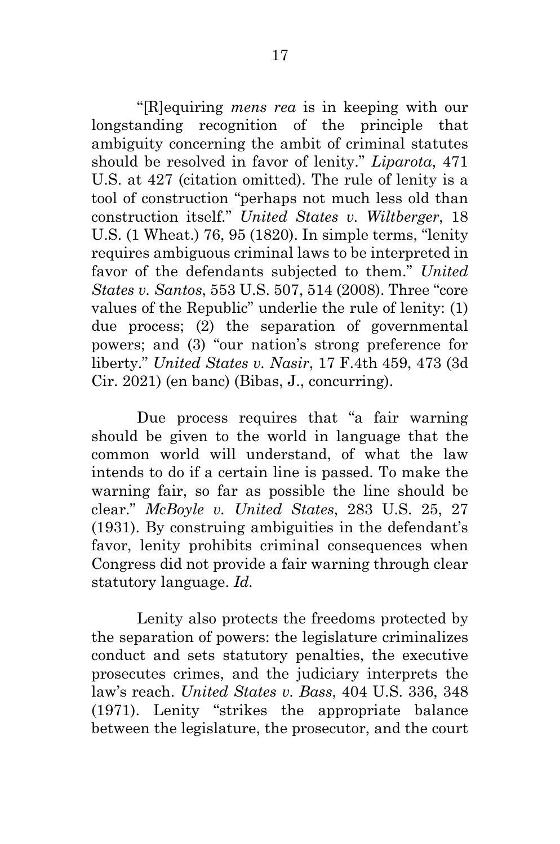<span id="page-23-5"></span><span id="page-23-0"></span>"[R]equiring *mens rea* is in keeping with our longstanding recognition of the principle that ambiguity concerning the ambit of criminal statutes should be resolved in favor of lenity." *Liparota*, 471 U.S. at 427 (citation omitted). The rule of lenity is a tool of construction "perhaps not much less old than construction itself." *United States v. Wiltberger*, 18 U.S. (1 Wheat.) 76, 95 (1820). In simple terms, "lenity requires ambiguous criminal laws to be interpreted in favor of the defendants subjected to them." *United States v. Santos*, 553 U.S. 507, 514 (2008). Three "core values of the Republic" underlie the rule of lenity: (1) due process; (2) the separation of governmental powers; and (3) "our nation's strong preference for liberty." *United States v. Nasir*, 17 F.4th 459, 473 (3d Cir. 2021) (en banc) (Bibas, J., concurring).

<span id="page-23-4"></span><span id="page-23-3"></span><span id="page-23-1"></span>Due process requires that "a fair warning should be given to the world in language that the common world will understand, of what the law intends to do if a certain line is passed. To make the warning fair, so far as possible the line should be clear." *McBoyle v. United States*, 283 U.S. 25, 27 (1931). By construing ambiguities in the defendant's favor, lenity prohibits criminal consequences when Congress did not provide a fair warning through clear statutory language. *Id.* 

<span id="page-23-2"></span>Lenity also protects the freedoms protected by the separation of powers: the legislature criminalizes conduct and sets statutory penalties, the executive prosecutes crimes, and the judiciary interprets the law's reach. *United States v. Bass*, 404 U.S. 336, 348 (1971). Lenity "strikes the appropriate balance between the legislature, the prosecutor, and the court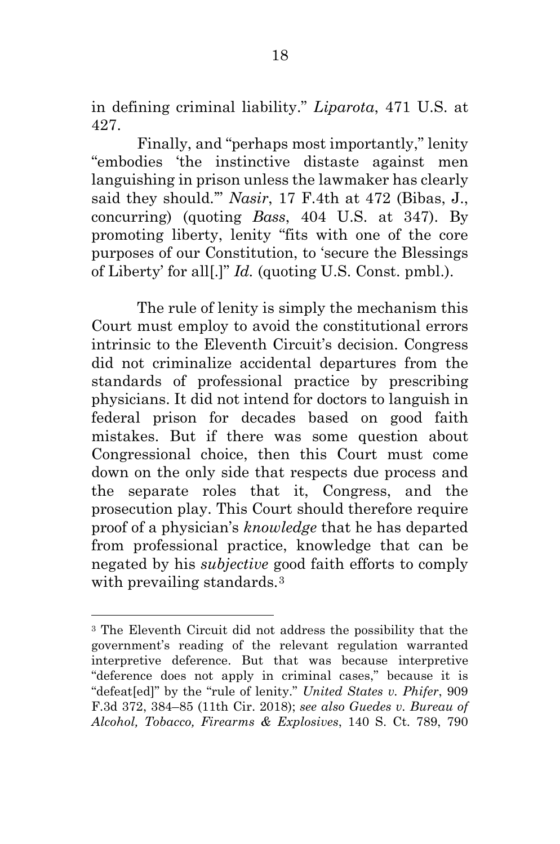<span id="page-24-1"></span>in defining criminal liability." *Liparota*, 471 U.S. at 427.

<span id="page-24-2"></span>Finally, and "perhaps most importantly," lenity "embodies 'the instinctive distaste against men languishing in prison unless the lawmaker has clearly said they should.'" *Nasir*, 17 F.4th at 472 (Bibas, J., concurring) (quoting *Bass*, 404 U.S. at 347). By promoting liberty, lenity "fits with one of the core purposes of our Constitution, to 'secure the Blessings of Liberty' for all[.]" *Id.* (quoting U.S. Const. pmbl.).

The rule of lenity is simply the mechanism this Court must employ to avoid the constitutional errors intrinsic to the Eleventh Circuit's decision. Congress did not criminalize accidental departures from the standards of professional practice by prescribing physicians. It did not intend for doctors to languish in federal prison for decades based on good faith mistakes. But if there was some question about Congressional choice, then this Court must come down on the only side that respects due process and the separate roles that it, Congress, and the prosecution play. This Court should therefore require proof of a physician's *knowledge* that he has departed from professional practice, knowledge that can be negated by his *subjective* good faith efforts to comply with prevailing standards.<sup>[3](#page-24-4)</sup>

<span id="page-24-4"></span><span id="page-24-3"></span><span id="page-24-0"></span><sup>3</sup> The Eleventh Circuit did not address the possibility that the government's reading of the relevant regulation warranted interpretive deference. But that was because interpretive "deference does not apply in criminal cases," because it is "defeat[ed]" by the "rule of lenity." *United States v. Phifer*, 909 F.3d 372, 384–85 (11th Cir. 2018); *see also Guedes v. Bureau of Alcohol, Tobacco, Firearms & Explosives*, 140 S. Ct. 789, 790